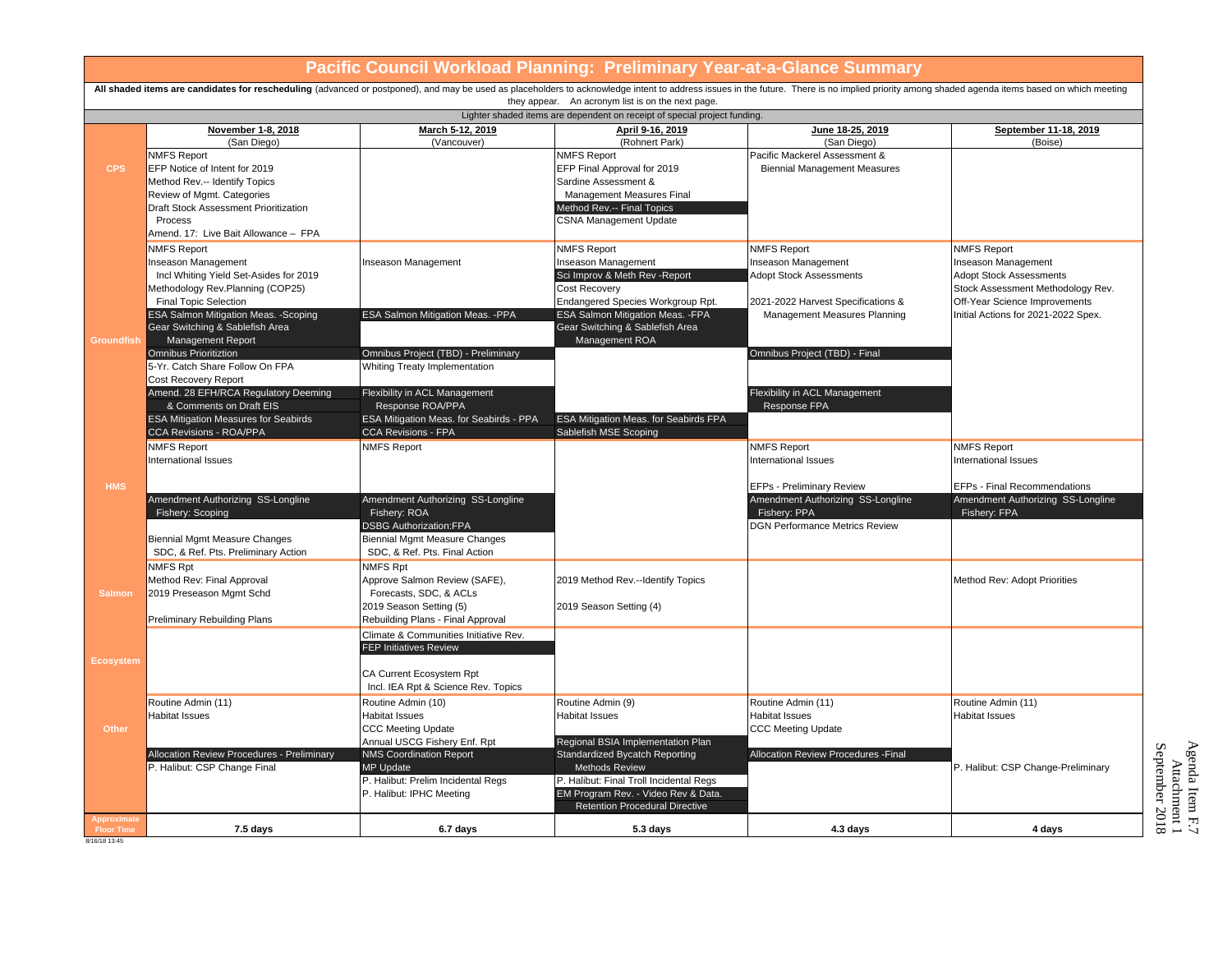| Pacific Council Workload Planning: Preliminary Year-at-a-Glance Summary                                                                                                                                                                                                            |                                                                            |                                                                |                                                                        |                                                                    |                                                                      |  |
|------------------------------------------------------------------------------------------------------------------------------------------------------------------------------------------------------------------------------------------------------------------------------------|----------------------------------------------------------------------------|----------------------------------------------------------------|------------------------------------------------------------------------|--------------------------------------------------------------------|----------------------------------------------------------------------|--|
| All shaded items are candidates for rescheduling (advanced or postponed), and may be used as placeholders to acknowledge intent to address issues in the future. There is no implied priority among shaded agenda items based<br>they appear. An acronym list is on the next page. |                                                                            |                                                                |                                                                        |                                                                    |                                                                      |  |
| Lighter shaded items are dependent on receipt of special project funding.                                                                                                                                                                                                          |                                                                            |                                                                |                                                                        |                                                                    |                                                                      |  |
|                                                                                                                                                                                                                                                                                    | November 1-8, 2018<br>(San Diego)                                          | March 5-12, 2019<br>(Vancouver)                                | April 9-16, 2019<br>(Rohnert Park)                                     | June 18-25, 2019<br>(San Diego)                                    | September 11-18, 2019<br>(Boise)                                     |  |
|                                                                                                                                                                                                                                                                                    | <b>NMFS Report</b>                                                         |                                                                | NMFS Report                                                            | Pacific Mackerel Assessment &                                      |                                                                      |  |
| <b>CPS</b>                                                                                                                                                                                                                                                                         | EFP Notice of Intent for 2019                                              |                                                                | EFP Final Approval for 2019                                            | <b>Biennial Management Measures</b>                                |                                                                      |  |
|                                                                                                                                                                                                                                                                                    | Method Rev.-- Identify Topics                                              |                                                                | Sardine Assessment &                                                   |                                                                    |                                                                      |  |
|                                                                                                                                                                                                                                                                                    | Review of Mgmt. Categories                                                 |                                                                | Management Measures Final                                              |                                                                    |                                                                      |  |
|                                                                                                                                                                                                                                                                                    | Draft Stock Assessment Prioritization                                      |                                                                | Method Rev.-- Final Topics                                             |                                                                    |                                                                      |  |
|                                                                                                                                                                                                                                                                                    | Process                                                                    |                                                                | <b>CSNA Management Update</b>                                          |                                                                    |                                                                      |  |
|                                                                                                                                                                                                                                                                                    | Amend. 17: Live Bait Allowance - FPA                                       |                                                                |                                                                        |                                                                    |                                                                      |  |
|                                                                                                                                                                                                                                                                                    | <b>NMFS Report</b>                                                         |                                                                | <b>NMFS Report</b>                                                     | <b>NMFS Report</b>                                                 | <b>NMFS Report</b>                                                   |  |
|                                                                                                                                                                                                                                                                                    | nseason Management                                                         | nseason Management                                             | Inseason Management                                                    | Inseason Management                                                | Inseason Management                                                  |  |
|                                                                                                                                                                                                                                                                                    | Incl Whiting Yield Set-Asides for 2019                                     |                                                                | Sci Improv & Meth Rev - Report                                         | <b>Adopt Stock Assessments</b>                                     | <b>Adopt Stock Assessments</b>                                       |  |
|                                                                                                                                                                                                                                                                                    | Methodology Rev.Planning (COP25)                                           |                                                                | Cost Recovery                                                          |                                                                    | Stock Assessment Methodology Rev.                                    |  |
|                                                                                                                                                                                                                                                                                    | <b>Final Topic Selection</b><br>ESA Salmon Mitigation Meas. - Scoping      | ESA Salmon Mitigation Meas. - PPA                              | Endangered Species Workgroup Rpt.<br>ESA Salmon Mitigation Meas. - FPA | 2021-2022 Harvest Specifications &<br>Management Measures Planning | Off-Year Science Improvements<br>Initial Actions for 2021-2022 Spex. |  |
|                                                                                                                                                                                                                                                                                    | Gear Switching & Sablefish Area                                            |                                                                | Gear Switching & Sablefish Area                                        |                                                                    |                                                                      |  |
| Groundfish                                                                                                                                                                                                                                                                         | Management Report                                                          |                                                                | Management ROA                                                         |                                                                    |                                                                      |  |
|                                                                                                                                                                                                                                                                                    | <b>Omnibus Prioritiztion</b>                                               | Omnibus Project (TBD) - Preliminary                            |                                                                        | Omnibus Project (TBD) - Final                                      |                                                                      |  |
|                                                                                                                                                                                                                                                                                    | 5-Yr. Catch Share Follow On FPA                                            | Whiting Treaty Implementation                                  |                                                                        |                                                                    |                                                                      |  |
|                                                                                                                                                                                                                                                                                    | Cost Recovery Report                                                       |                                                                |                                                                        |                                                                    |                                                                      |  |
|                                                                                                                                                                                                                                                                                    | Amend. 28 EFH/RCA Regulatory Deeming                                       | Flexibility in ACL Management                                  |                                                                        | Flexibility in ACL Management                                      |                                                                      |  |
|                                                                                                                                                                                                                                                                                    | & Comments on Draft EIS                                                    | Response ROA/PPA                                               |                                                                        | Response FPA                                                       |                                                                      |  |
|                                                                                                                                                                                                                                                                                    | <b>ESA Mitigation Measures for Seabirds</b>                                | ESA Mitigation Meas. for Seabirds - PPA                        | ESA Mitigation Meas. for Seabirds FPA                                  |                                                                    |                                                                      |  |
|                                                                                                                                                                                                                                                                                    | CCA Revisions - ROA/PPA                                                    | CCA Revisions - FPA                                            | Sablefish MSE Scoping                                                  |                                                                    |                                                                      |  |
|                                                                                                                                                                                                                                                                                    | <b>NMFS Report</b><br>International Issues                                 | <b>NMFS Report</b>                                             |                                                                        | <b>NMFS Report</b><br>International Issues                         | <b>NMFS Report</b><br><b>International Issues</b>                    |  |
|                                                                                                                                                                                                                                                                                    |                                                                            |                                                                |                                                                        |                                                                    |                                                                      |  |
| <b>HMS</b>                                                                                                                                                                                                                                                                         |                                                                            |                                                                |                                                                        | <b>EFPs - Preliminary Review</b>                                   | <b>EFPs - Final Recommendations</b>                                  |  |
|                                                                                                                                                                                                                                                                                    | Amendment Authorizing SS-Longline                                          | Amendment Authorizing SS-Longline                              |                                                                        | Amendment Authorizing SS-Longline                                  | Amendment Authorizing SS-Longline                                    |  |
|                                                                                                                                                                                                                                                                                    | Fishery: Scoping                                                           | Fishery: ROA                                                   |                                                                        | Fishery: PPA                                                       | Fishery: FPA                                                         |  |
|                                                                                                                                                                                                                                                                                    |                                                                            | <b>DSBG Authorization:FPA</b>                                  |                                                                        | <b>DGN Performance Metrics Review</b>                              |                                                                      |  |
|                                                                                                                                                                                                                                                                                    | <b>Biennial Mgmt Measure Changes</b>                                       | <b>Biennial Mgmt Measure Changes</b>                           |                                                                        |                                                                    |                                                                      |  |
|                                                                                                                                                                                                                                                                                    | SDC, & Ref. Pts. Preliminary Action                                        | SDC, & Ref. Pts. Final Action                                  |                                                                        |                                                                    |                                                                      |  |
|                                                                                                                                                                                                                                                                                    | NMFS Rpt                                                                   | NMFS Rpt                                                       |                                                                        |                                                                    |                                                                      |  |
|                                                                                                                                                                                                                                                                                    | Method Rev: Final Approval<br>2019 Preseason Mgmt Schd                     | Approve Salmon Review (SAFE),<br>Forecasts, SDC, & ACLs        | 2019 Method Rev.--Identify Topics                                      |                                                                    | Method Rev: Adopt Priorities                                         |  |
| <b>Salmon</b>                                                                                                                                                                                                                                                                      |                                                                            | 2019 Season Setting (5)                                        | 2019 Season Setting (4)                                                |                                                                    |                                                                      |  |
|                                                                                                                                                                                                                                                                                    | Preliminary Rebuilding Plans                                               | Rebuilding Plans - Final Approval                              |                                                                        |                                                                    |                                                                      |  |
|                                                                                                                                                                                                                                                                                    |                                                                            | Climate & Communities Initiative Rev.                          |                                                                        |                                                                    |                                                                      |  |
|                                                                                                                                                                                                                                                                                    |                                                                            | <b>FEP Initiatives Review</b>                                  |                                                                        |                                                                    |                                                                      |  |
| Ecosystem                                                                                                                                                                                                                                                                          |                                                                            |                                                                |                                                                        |                                                                    |                                                                      |  |
|                                                                                                                                                                                                                                                                                    |                                                                            | CA Current Ecosystem Rpt                                       |                                                                        |                                                                    |                                                                      |  |
|                                                                                                                                                                                                                                                                                    |                                                                            | Incl. IEA Rpt & Science Rev. Topics                            |                                                                        |                                                                    |                                                                      |  |
|                                                                                                                                                                                                                                                                                    | Routine Admin (11)                                                         | Routine Admin (10)                                             | Routine Admin (9)                                                      | Routine Admin (11)                                                 | Routine Admin (11)                                                   |  |
|                                                                                                                                                                                                                                                                                    | <b>Habitat Issues</b>                                                      | <b>Habitat Issues</b>                                          | <b>Habitat Issues</b>                                                  | <b>Habitat Issues</b>                                              | <b>Habitat Issues</b>                                                |  |
| Other                                                                                                                                                                                                                                                                              |                                                                            | <b>CCC Meeting Update</b>                                      |                                                                        | <b>CCC Meeting Update</b>                                          |                                                                      |  |
|                                                                                                                                                                                                                                                                                    |                                                                            | Annual USCG Fishery Enf. Rpt<br><b>NMS Coordination Report</b> | Regional BSIA Implementation Plan                                      |                                                                    |                                                                      |  |
|                                                                                                                                                                                                                                                                                    | Allocation Review Procedures - Preliminary<br>P. Halibut: CSP Change Final | <b>MP Update</b>                                               | Standardized Bycatch Reporting<br><b>Methods Review</b>                | Allocation Review Procedures - Final                               | P. Halibut: CSP Change-Preliminary                                   |  |
|                                                                                                                                                                                                                                                                                    |                                                                            | P. Halibut: Prelim Incidental Regs                             | P. Halibut: Final Troll Incidental Regs                                |                                                                    |                                                                      |  |
|                                                                                                                                                                                                                                                                                    |                                                                            | P. Halibut: IPHC Meeting                                       | EM Program Rev. - Video Rev & Data.                                    |                                                                    |                                                                      |  |
|                                                                                                                                                                                                                                                                                    |                                                                            |                                                                | <b>Retention Procedural Directive</b>                                  |                                                                    |                                                                      |  |
| Approximate<br><b>Floor Time</b>                                                                                                                                                                                                                                                   | 7.5 days                                                                   | 6.7 days                                                       | 5.3 days                                                               | 4.3 days                                                           | 4 days                                                               |  |
| 8/16/18 13:45                                                                                                                                                                                                                                                                      |                                                                            |                                                                |                                                                        |                                                                    |                                                                      |  |

Agenda Item F.7<br>Attachment 1<br>September 2018 Agenda Item F.7 September 2018Attachment 1